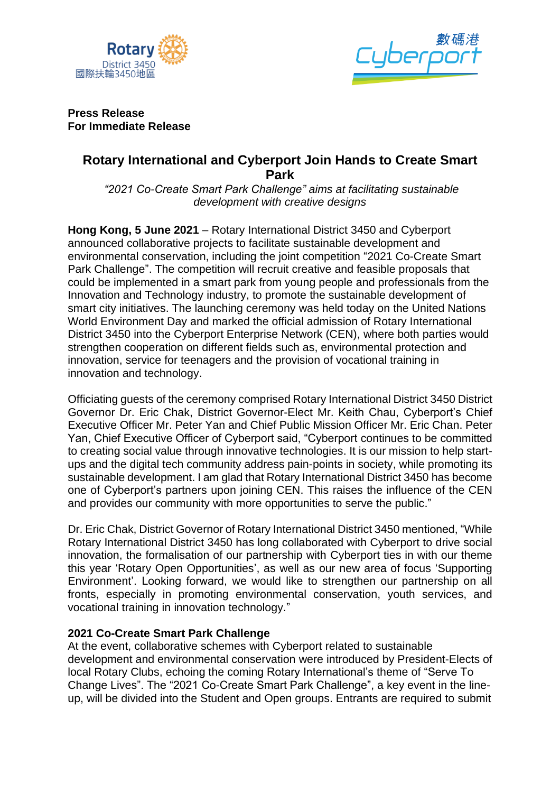



**Press Release For Immediate Release**

# **Rotary International and Cyberport Join Hands to Create Smart Park**

*"2021 Co-Create Smart Park Challenge" aims at facilitating sustainable development with creative designs*

**Hong Kong, 5 June 2021** – Rotary International District 3450 and Cyberport announced collaborative projects to facilitate sustainable development and environmental conservation, including the joint competition "2021 Co-Create Smart Park Challenge". The competition will recruit creative and feasible proposals that could be implemented in a smart park from young people and professionals from the Innovation and Technology industry, to promote the sustainable development of smart city initiatives. The launching ceremony was held today on the United Nations World Environment Day and marked the official admission of Rotary International District 3450 into the Cyberport Enterprise Network (CEN), where both parties would strengthen cooperation on different fields such as, environmental protection and innovation, service for teenagers and the provision of vocational training in innovation and technology.

Officiating guests of the ceremony comprised Rotary International District 3450 District Governor Dr. Eric Chak, District Governor-Elect Mr. Keith Chau, Cyberport's Chief Executive Officer Mr. Peter Yan and Chief Public Mission Officer Mr. Eric Chan. Peter Yan, Chief Executive Officer of Cyberport said, "Cyberport continues to be committed to creating social value through innovative technologies. It is our mission to help startups and the digital tech community address pain-points in society, while promoting its sustainable development. I am glad that Rotary International District 3450 has become one of Cyberport's partners upon joining CEN. This raises the influence of the CEN and provides our community with more opportunities to serve the public."

Dr. Eric Chak, District Governor of Rotary International District 3450 mentioned, "While Rotary International District 3450 has long collaborated with Cyberport to drive social innovation, the formalisation of our partnership with Cyberport ties in with our theme this year 'Rotary Open Opportunities', as well as our new area of focus 'Supporting Environment'. Looking forward, we would like to strengthen our partnership on all fronts, especially in promoting environmental conservation, youth services, and vocational training in innovation technology."

### **2021 Co-Create Smart Park Challenge**

At the event, collaborative schemes with Cyberport related to sustainable development and environmental conservation were introduced by President-Elects of local Rotary Clubs, echoing the coming Rotary International's theme of "Serve To Change Lives". The "2021 Co-Create Smart Park Challenge", a key event in the lineup, will be divided into the Student and Open groups. Entrants are required to submit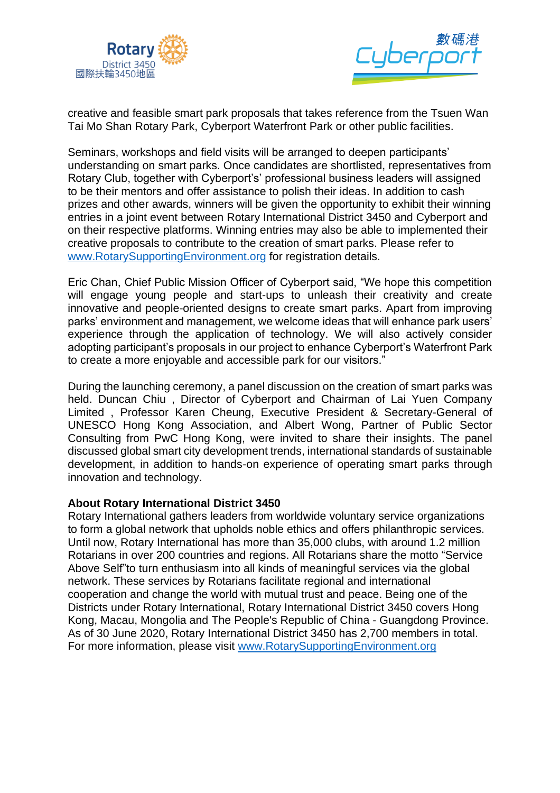



creative and feasible smart park proposals that takes reference from the Tsuen Wan Tai Mo Shan Rotary Park, Cyberport Waterfront Park or other public facilities.

Seminars, workshops and field visits will be arranged to deepen participants' understanding on smart parks. Once candidates are shortlisted, representatives from Rotary Club, together with Cyberport's' professional business leaders will assigned to be their mentors and offer assistance to polish their ideas. In addition to cash prizes and other awards, winners will be given the opportunity to exhibit their winning entries in a joint event between Rotary International District 3450 and Cyberport and on their respective platforms. Winning entries may also be able to implemented their creative proposals to contribute to the creation of smart parks. Please refer to [www.RotarySupportingEnvironment.org](http://www.rotarysupportingenvironment.org/) for registration details.

Eric Chan, Chief Public Mission Officer of Cyberport said, "We hope this competition will engage young people and start-ups to unleash their creativity and create innovative and people-oriented designs to create smart parks. Apart from improving parks' environment and management, we welcome ideas that will enhance park users' experience through the application of technology. We will also actively consider adopting participant's proposals in our project to enhance Cyberport's Waterfront Park to create a more enjoyable and accessible park for our visitors."

During the launching ceremony, a panel discussion on the creation of smart parks was held. Duncan Chiu , Director of Cyberport and Chairman of Lai Yuen Company Limited , Professor Karen Cheung, Executive President & Secretary-General of UNESCO Hong Kong Association, and Albert Wong, Partner of Public Sector Consulting from PwC Hong Kong, were invited to share their insights. The panel discussed global smart city development trends, international standards of sustainable development, in addition to hands-on experience of operating smart parks through innovation and technology.

### **About Rotary International District 3450**

Rotary International gathers leaders from worldwide voluntary service organizations to form a global network that upholds noble ethics and offers philanthropic services. Until now, Rotary International has more than 35,000 clubs, with around 1.2 million Rotarians in over 200 countries and regions. All Rotarians share the motto "Service Above Self"to turn enthusiasm into all kinds of meaningful services via the global network. These services by Rotarians facilitate regional and international cooperation and change the world with mutual trust and peace. Being one of the Districts under Rotary International, Rotary International District 3450 covers Hong Kong, Macau, Mongolia and The People's Republic of China - Guangdong Province. As of 30 June 2020, Rotary International District 3450 has 2,700 members in total. For more information, please visit [www.RotarySupportingEnvironment.org](http://www.rotarysupportingenvironment.org/)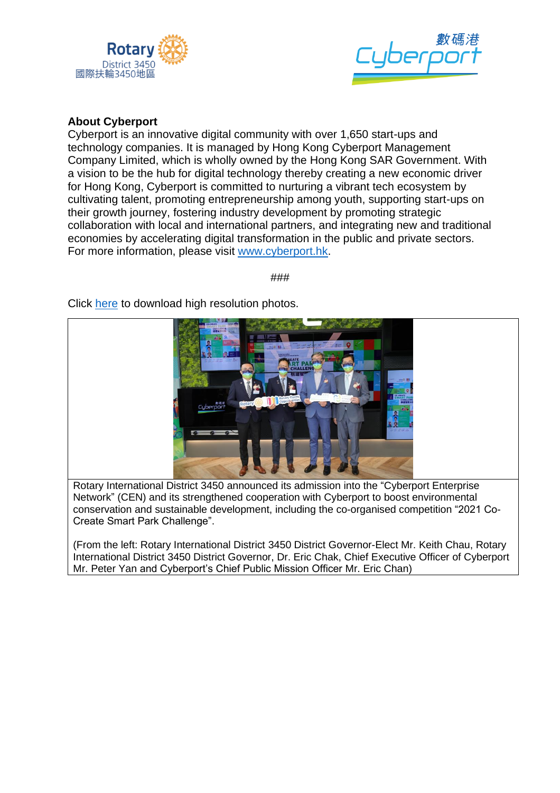



## **About Cyberport**

Cyberport is an innovative digital community with over 1,650 start-ups and technology companies. It is managed by Hong Kong Cyberport Management Company Limited, which is wholly owned by the Hong Kong SAR Government. With a vision to be the hub for digital technology thereby creating a new economic driver for Hong Kong, Cyberport is committed to nurturing a vibrant tech ecosystem by cultivating talent, promoting entrepreneurship among youth, supporting start-ups on their growth journey, fostering industry development by promoting strategic collaboration with local and international partners, and integrating new and traditional economies by accelerating digital transformation in the public and private sectors. For more information, please visit [www.cyberport.hk.](http://www.cyberport.hk/)

###

Click [here](https://drive.google.com/drive/folders/1oDmT6POdnJLbiozjLu4oBpn2Fys1-45X?usp=sharing) to download high resolution photos.



Rotary International District 3450 announced its admission into the "Cyberport Enterprise Network" (CEN) and its strengthened cooperation with Cyberport to boost environmental conservation and sustainable development, including the co-organised competition "2021 Co-Create Smart Park Challenge".

(From the left: Rotary International District 3450 District Governor-Elect Mr. Keith Chau, Rotary International District 3450 District Governor, Dr. Eric Chak, Chief Executive Officer of Cyberport Mr. Peter Yan and Cyberport's Chief Public Mission Officer Mr. Eric Chan)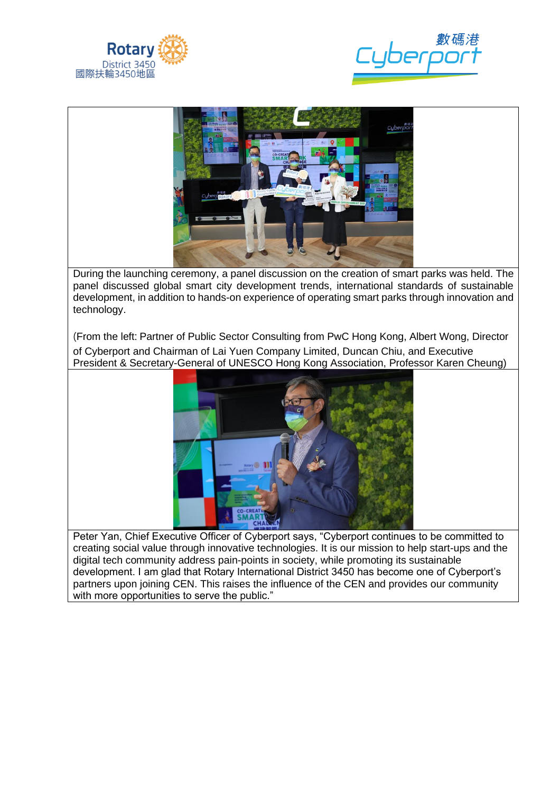





During the launching ceremony, a panel discussion on the creation of smart parks was held. The panel discussed global smart city development trends, international standards of sustainable development, in addition to hands-on experience of operating smart parks through innovation and technology.

(From the left: Partner of Public Sector Consulting from PwC Hong Kong, Albert Wong, Director of Cyberport and Chairman of Lai Yuen Company Limited, Duncan Chiu, and Executive President & Secretary-General of UNESCO Hong Kong Association, Professor Karen Cheung)



Peter Yan, Chief Executive Officer of Cyberport says, "Cyberport continues to be committed to creating social value through innovative technologies. It is our mission to help start-ups and the digital tech community address pain-points in society, while promoting its sustainable development. I am glad that Rotary International District 3450 has become one of Cyberport's partners upon joining CEN. This raises the influence of the CEN and provides our community with more opportunities to serve the public."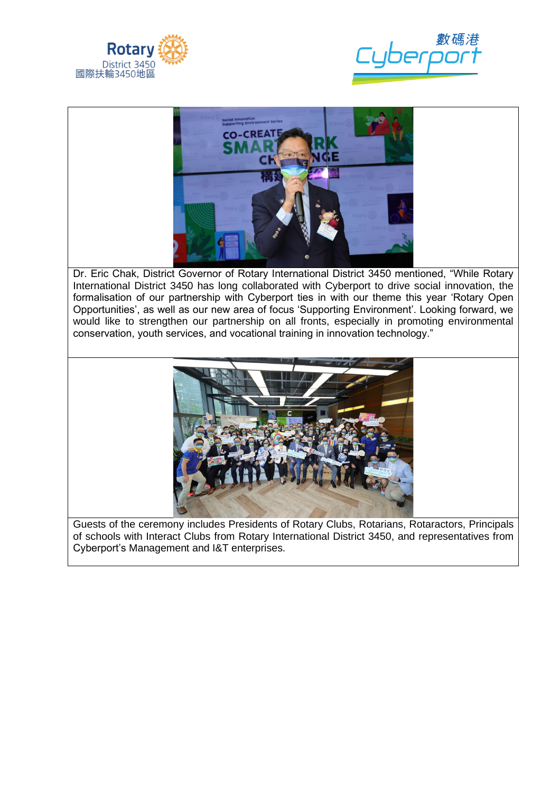





Dr. Eric Chak, District Governor of Rotary International District 3450 mentioned, "While Rotary International District 3450 has long collaborated with Cyberport to drive social innovation, the formalisation of our partnership with Cyberport ties in with our theme this year 'Rotary Open Opportunities', as well as our new area of focus 'Supporting Environment'. Looking forward, we would like to strengthen our partnership on all fronts, especially in promoting environmental conservation, youth services, and vocational training in innovation technology."



Guests of the ceremony includes Presidents of Rotary Clubs, Rotarians, Rotaractors, Principals of schools with Interact Clubs from Rotary International District 3450, and representatives from Cyberport's Management and I&T enterprises.